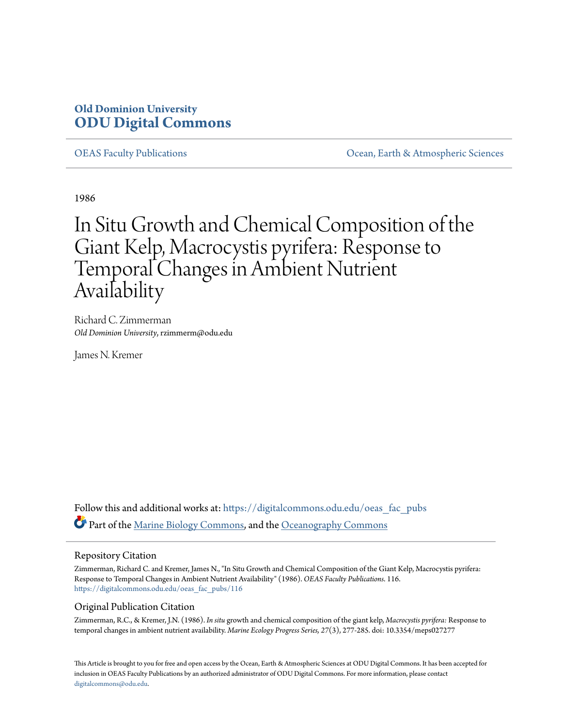### **Old Dominion University [ODU Digital Commons](https://digitalcommons.odu.edu?utm_source=digitalcommons.odu.edu%2Foeas_fac_pubs%2F116&utm_medium=PDF&utm_campaign=PDFCoverPages)**

[OEAS Faculty Publications](https://digitalcommons.odu.edu/oeas_fac_pubs?utm_source=digitalcommons.odu.edu%2Foeas_fac_pubs%2F116&utm_medium=PDF&utm_campaign=PDFCoverPages) [Ocean, Earth & Atmospheric Sciences](https://digitalcommons.odu.edu/oeas?utm_source=digitalcommons.odu.edu%2Foeas_fac_pubs%2F116&utm_medium=PDF&utm_campaign=PDFCoverPages)

1986

# In Situ Growth and Chemical Composition of the Giant Kelp, Macrocystis pyrifera: Response to Temporal Changes in Ambient Nutrient Availability

Richard C. Zimmerman *Old Dominion University*, rzimmerm@odu.edu

James N. Kremer

Follow this and additional works at: [https://digitalcommons.odu.edu/oeas\\_fac\\_pubs](https://digitalcommons.odu.edu/oeas_fac_pubs?utm_source=digitalcommons.odu.edu%2Foeas_fac_pubs%2F116&utm_medium=PDF&utm_campaign=PDFCoverPages) Part of the [Marine Biology Commons,](http://network.bepress.com/hgg/discipline/1126?utm_source=digitalcommons.odu.edu%2Foeas_fac_pubs%2F116&utm_medium=PDF&utm_campaign=PDFCoverPages) and the [Oceanography Commons](http://network.bepress.com/hgg/discipline/191?utm_source=digitalcommons.odu.edu%2Foeas_fac_pubs%2F116&utm_medium=PDF&utm_campaign=PDFCoverPages)

### Repository Citation

Zimmerman, Richard C. and Kremer, James N., "In Situ Growth and Chemical Composition of the Giant Kelp, Macrocystis pyrifera: Response to Temporal Changes in Ambient Nutrient Availability" (1986). *OEAS Faculty Publications*. 116. [https://digitalcommons.odu.edu/oeas\\_fac\\_pubs/116](https://digitalcommons.odu.edu/oeas_fac_pubs/116?utm_source=digitalcommons.odu.edu%2Foeas_fac_pubs%2F116&utm_medium=PDF&utm_campaign=PDFCoverPages)

### Original Publication Citation

Zimmerman, R.C., & Kremer, J.N. (1986). *In situ* growth and chemical composition of the giant kelp, *Macrocystis pyrifera:* Response to temporal changes in ambient nutrient availability. *Marine Ecology Progress Series, 27*(3), 277-285. doi: 10.3354/meps027277

This Article is brought to you for free and open access by the Ocean, Earth & Atmospheric Sciences at ODU Digital Commons. It has been accepted for inclusion in OEAS Faculty Publications by an authorized administrator of ODU Digital Commons. For more information, please contact [digitalcommons@odu.edu.](mailto:digitalcommons@odu.edu)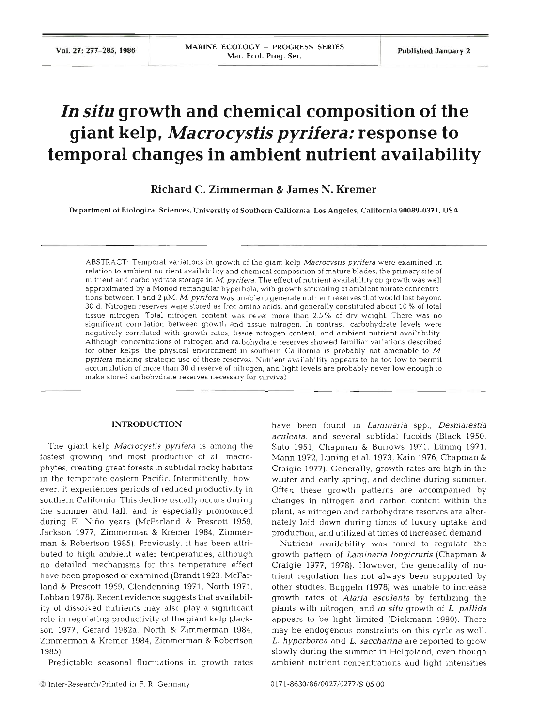## **In situ growth and chemical composition of the giant kelp,** *Macrocystis pyrifera:* **response to temporal changes in ambient nutrient availability**

### **Richard C. Zimmerman** & **James N. Kremer**

Department of Biological Sciences, University of Southern California. Los Angeles. California **90089-0371,** USA

ABSTRACT: Temporal variations in growth of the giant kelp *Macrocystis pyrifera* were examined in relation to ambient nutrient availability and chemical composition of mature blades, the primary site of nutrient and carbohydrate storage in M. *pyrifera.* The effect of nutrient availability on growth was well approximated by a Monod rectangular hyperbola, with growth saturating at ambient nitrate concentrations between 1 and 2 µM. *M. pyrifera* was unable to generate nutrient reserves that would last beyond 30 d. Nitrogen reserves were stored as free amino acids, and generally constituted about 10 % of total tissue nitrogen. Total nitrogen content was never more than 2.5% of dry weight. There was no significant correlation between growth and tissue nitrogen. In contrast, carbohydrate levels were negatively correlated with growth rates, tissue nitrogen content, and ambient nutrient availability. Although concentrations of nitrogen and carbohydrate reserves showed familiar variations described for other kelps, the physical environment in southern California is probably not amenable to M. *pyrifera* making strategic use of these reserves. Nutrient availability appears to be too low to permit accumulation of more than 30 d reserve of nitrogen, and light levels are probably never low enough to make stored carbohydrate reserves necessary for survival.

### **INTRODUCTION**

The giant kelp *Macrocystis pyrifera* is among the fastest growing and most productive of all macrophytes, creating great forests in subtidal rocky habitats in the temperate eastern Pacific. Intermittently, however, it experiences periods of reduced productivity in southern California. This decline usually occurs during the summer and fall, and is especially pronounced during El Nino years (McFarland & Prescott 1959, Jackson 1977, Zimmerman & Kremer 1984, Zimmerman & Robertson 1985). Previously, it has been attributed to high ambient water temperatures, although no detailed mechanisms for this temperature effect have been proposed or examined (Brandt 1923, McFarland & Prescott 1959, Clendenning 1971, North 1971, Lobban 1978). Recent evidence suggests that availability of dissolved nutrients may also play a significant role in regulating productivity of the giant kelp (Jackson 1977, Gerard 1982a, North & Zimmerman 1984, Zimmerman & Kremer 1984, Zimmerman & Robertson 1985).

Predictable seasonal fluctuations in growth rates

have been found in *Laminaria* spp., *Desrnarestia aculeata,* and several subtidal fucoids (Black 1950, Suto 1951, Chapman & Burrows 1971, Lüning 1971, Mann 1972, Luning et al. 1973, Kain 1976, Chapman & Craigie 1977). Generally, growth rates are high in the winter and early spring, and decline during summer. Often these growth patterns are accompanied by changes in nitrogen and carbon content within the plant, as nitrogen and carbohydrate reserves are alternately laid down during times of luxury uptake and production, and utilized at times of increased demand.

Nutrient availability was found to regulate the growth pattern of *Laminaria longicruris* (Chapman & Craigie 1977, 1978). However, the generality of nutrient regulation has not always been supported by other studies. Buggeln (1978) was unable to increase growth rates of *Alaria esculenta* by fertilizing the plants with nitrogen, and *in situ* growth of *L. pallida*  appears to be light limited (Diekmann 1980). There may be endogenous constraints on this cycle as well. L. *hyperborea* and *L. saccharina* are reported to grow slowly during the summer in Helgoland, even though ambient nutrient concentrations and light intensities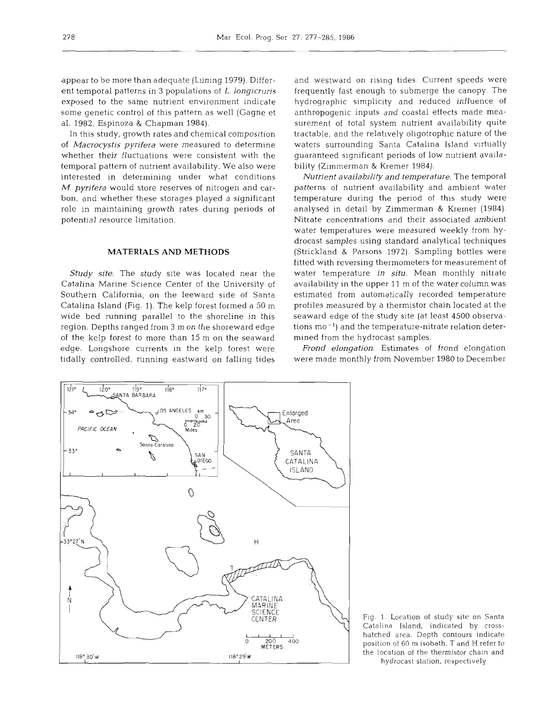appear to be more than adequate (Lüning 1979). Different temporal patterns in **3** populations of L. *longicruris*  exposed to the same nutrient environment indicate some genetic control of this pattern as well (Gagne et al. 1982, Espinoza & Chapman 1984).

In this study, growth rates and chemical composition of *Macrocystis pyrifera* were measured to determine whether their fluctuations were consistent with the temporal pattern of nutrient availability. We also were interested in determining under what conditions M. *pyrifera* would store reserves of nitrogen and carbon, and whether these storages played a significant role in maintaining growth rates during periods of potential resource limitation.

### **MATERIALS AND METHODS**

*Study site.* The study site was located near the Catalina Marine Science Center of the University of Southern California, on the leeward side of Santa Catalina Island (Fig. 1). The kelp forest formed a 50 m wide bed running parallel to the shoreline in this region. Depths ranged from 3 m on the shoreward edge of the kelp forest to more than 15 m on the seaward edge. Longshore currents in the kelp forest were tidally controlled, running eastward on falling tides

and westward on rising tides. Current speeds were frequently fast enough to submerge the canopy. The hydrographic simplicity and reduced influence of anthropogenic inputs and coastal effects made measurement of total system nutrient availability quite tractable, and the relatively oligotrophic nature of the waters surrounding Santa Catalina Island virtually guaranteed significant periods of low nutrient availability (Zimmerman & Kremer 1984).

*Nutrient availability and temperature.* The temporal patterns of nutrient availability and ambient water temperature during the period of this study were analysed in detail by Zimmerman & Kremer (1984). Nitrate concentrations and their associated ambient water temperatures were measured weekly from hydrocast samples using standard analytical techniques (Strickland & Parsons 1972). Sampling bottles were fitted with reversing thermometers for measurement of water temperature *in situ.* Mean monthly nitrate availability in the upper 11 m of the water column was estimated from automatically recorded temperature profiles measured by a thermistor chain located at the seaward edge of the study site (at least 4500 observations mo<sup>-1</sup>) and the temperature-nitrate relation determined from the hydrocast samples.

*Frond elongation.* Estimates of frond elongation were made monthly from November 1980 to December



Fig. 1. Location of study site on Santa Catalina Island, indicated by crosshatched area. Depth contours indicate position of 60 m isobath. T and H **refer** to the location of the thermistor chain and hydrocast station, respectively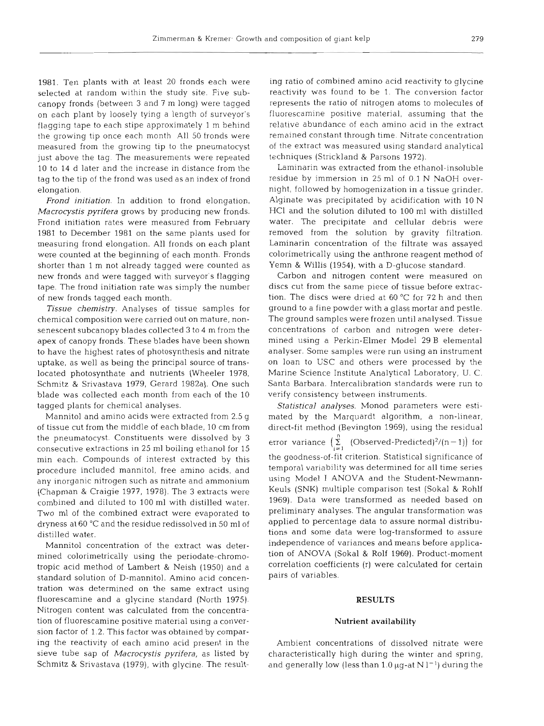1981. Ten plants with at least 20 fronds each were selected at random within the study site. Five subcanopy fronds (between **3** and 7 m long) were tagged on each plant by loosely tying a length of surveyor's flagging tape to each stipe approximately 1 m behind the growing tip once each month All 50 fronds were measured from the growing tip to the pneumatocyst just above the tag. The measurements were repeated 10 to 14 d later and the increase in distance from the tag to the tip of the frond was used as an index of frond elongation.

*Frond initiation.* In addition to frond elongation, *Macrocystis pyrifera* grows by producing new fronds. Frond initiation rates were measured from February 1981 to December 1981 on the same plants used for measuring frond elongation. All fronds on each plant were counted at the beginning of each month. Fronds shorter than l m not already tagged were counted as new fronds and were tagged with surveyor's flagging tape. The frond initiation rate was simply the number of new fronds tagged each month.

*Tissue chemistry.* Analyses of tissue samples for chemical composition were carried out on mature, nonsenescent subcanopy blades collected 3 to 4 m from the apex of canopy fronds. These blades have been shown to have the highest rates of photosynthesis and nitrate uptake, as well as being the principal source of translocated photosynthate and nutrients (Wheeler 1978, Schmitz & Srivastava 1979, Gerard 1982a). One such blade was collected each month from each of the 10 tagged plants for chemical analyses.

Mannitol and amino acids were extracted from 2.5 g of tissue cut from the middle of each blade, 10 cm from the pneumatocyst. Constituents were dissolved by **3**  consecutive extractions in 25 m1 boiling ethanol for 15 min each. Compounds of interest extracted by this procedure included mannitol, free amino acids, and any inorganic nitrogen such as nitrate and ammonium (Chapman & Craigie 1977, 1978). The 3 extracts were combined and diluted to 100 m1 with distilled water. Two m1 of the combined extract were evaporated to dryness at 60 "C and the residue redissolved in 50 m1 of distilled water.

Mannitol concentration of the extract was determined colorimetrically using the periodate-chromotropic acid method of Lambert & Neish (1950) and a standard solution of D-mannitol. Amino acid concentration was determined on the same extract using fluorescamine and a glycine standard (North 1975). Nitrogen content was calculated from the concentration of fluorescamine positive material using a conversion factor of 1.2. This factor was obtained by comparing the reactivity of each amino acid present in the sieve tube sap of *Macrocystis pyrifera,* as listed by Schmitz & Srivastava (1979), with glycine. The result-

ing ratio of combined amino acid reactivity to glycine<br>reactivity was found to be 1. The conversion factor<br>represents the ratio of nitrogen atoms to molecules o<br>fluorescamine positive material, assuming that the<br>relative

*Statistical analyses.* Monod parameters were esti- mated by the Marquardt algorithm, a non-linear, direct-fit method (Bevington 1969), using the residual error variance  $\begin{pmatrix} \sum_{i=1}^{n} & \text{(Observed-Predicted)}^2/(n-1) \end{pmatrix}$  for the goodness-of-fit criterion. Statistical significance of<br>temporal variability was determined for all time series<br>using Model I ANOVA and the Student-Newmann-<br>Keuls (SNK) multiple comparison test (Sokal & Rohl:<br>1969). Dat

# **RESULTS Nutrient availability**

Ambient concentrations of dissolved nitrate were characteristically high during the winter and spring, and generally low (less than 1.0  $\mu$ g-at N l<sup>-1</sup>) during the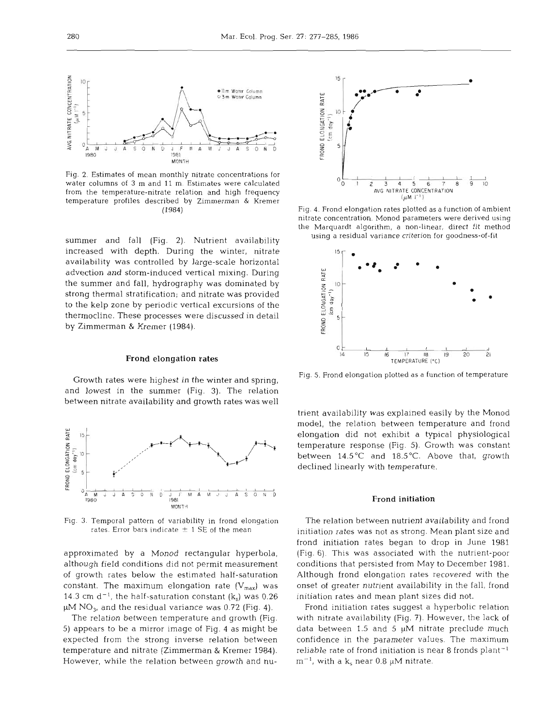

Fig. 2. Estimates of mean monthly nitrate concentrations for water columns of **3** m and 11 m. Estimates were calculated from the temperature-nitrate relation and high frequency temperature profiles described by Zimmerman & Kremer (1984)

summer and fall (Fig. **2).** Nutrient availability increased with depth. During the winter, nitrate availability was controlled by large-scale horizontal advection and storm-induced vertical mixing. During the summer and fall, hydrography was dominated by strong thermal stratification; and nitrate was provided to the kelp zone by periodic vertical excursions of the thermocline. These processes were discussed in detail by Zimmerman & Kremer (1984).

### Frond elongation rates

Growth rates were highest in the winter and spring, and lowest in the summer (Fig. 3). The relation between nitrate availability and growth rates was well



Fig. **3.** Temporal pattern of variability in frond elongation rates. Error bars indicate  $\pm$  1 SE of the mean

approximated by a Monod rectangular hyperbola, although field conditions did not permit measurement of growth rates below the estimated half-saturation constant. The maximum elongation rate  $(V_{max})$  was 14.3 cm  $d^{-1}$ , the half-saturation constant  $(k_s)$  was 0.26  $\mu$ M NO<sub>3</sub>, and the residual variance was 0.72 (Fig. 4).

The relation between temperature and growth (Fig. 5) appears to be a mirror image of Fig. 4 as might be expected from the strong inverse relation between temperature and nitrate (Zimmerman & Kremer 1984). However, while the relation between growth and nu-



Fig. 4. Frond elongation rates plotted as a function of ambient<br>nitrate concentration. Monod parameters were derived using<br>the Marquardt algorithm, a non-linear, direct fit method<br>using a residual variance criterion for g



Fig. 5. Frond elongation plotted as a function of temperature<br>trient availability was explained easily by the Monod<br>model, the relation between temperature and frond<br>elongation did not exhibit a typical physiological<br>temp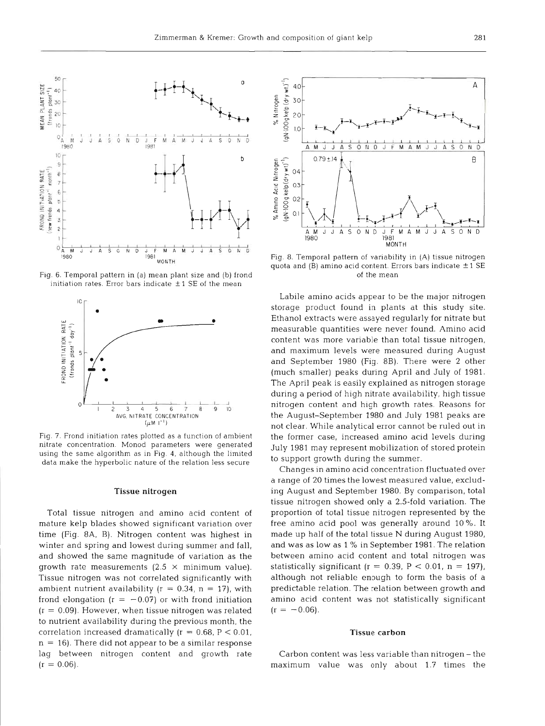

Fig. 6. Temporal pattern in (a) mean plant size and (b) frond initiation rates. Error bars indicate  $\pm$  1 SE of the r



Fig. 7. Frond initiation rates plotted as a function of ambient nitrate concentration Monod parameters were generated using the same algorithm as in Fig. 4, although the limited data make the hyperbolic nature of the relation less secure

### **Tissue nitrogen**

Total tissue nitrogen and amino acid content of mature kelp blades showed significant variation over time (Fig. 8A, B). Nitrogen content was highest in winter and spring and lowest during summer and fall, and showed the same magnitude of variation as the growth rate measurements  $(2.5 \times \text{minimum value}).$ Tissue nitrogen was not correlated significantly with ambient nutrient availability ( $r = 0.34$ ,  $n = 17$ ), with frond elongation ( $r = -0.07$ ) or with frond initiation  $(r = 0.09)$ . However, when tissue nitrogen was related to nutrient availability during the previous month, the correlation increased dramatically  $(r = 0.68, P < 0.01,$  $n = 16$ ). There did not appear to be a similar response lag between nitrogen content and growth rate  $(r = 0.06)$ .



Fig. 8. Temporal pattern of variability in (A) tissue nitrogen quota and (B) amino acid content. Errors bars indicate  $\pm$  1 SE of the mean

Labile amino acids appear to be the major nitrogen storage product found in plants at this study site. Ethanol extracts were assayed regularly for nitrate but measurable quantities were never found. Amino acid content was more variable than total tissue nitrogen, and maximum levels were measured during August and September 1980 (Fig. 8B). There were 2 other (much smaller) peaks during April and July of 1981. The April peak is easily explained as nitrogen storage during a period of high nitrate availability, high tissue nitrogen content and high growth rates. Reasons for the August-September 1980 and July 1981 peaks are not clear. While analytical error cannot be ruled out in the former case, increased amino acid levels during July 1981 may represent mobilization of stored protein to support growth during the summer.

Changes in amino acid concentration fluctuated over a range of 20 times the lowest measured value, excluding August and September 1980. By comparison, total tissue nitrogen showed only a 2.5-fold variation. The proportion of total tissue nitrogen represented by the free amino acid pool was generally around 10 %. It made up half of the total tissue N during August 1980, and was as low as 1 % in September 1981. The relation between amino acid content and total nitrogen was statistically significant ( $r = 0.39$ ,  $P < 0.01$ ,  $n = 197$ ), although not reliable enough to form the basis of a predictable relation. The relation between growth and amino acid content was not statistically significant  $(r = -0.06)$ .

### **Tissue car**

Carbon content was less variable than nitrogen - the maximum value was only about 1.7 times the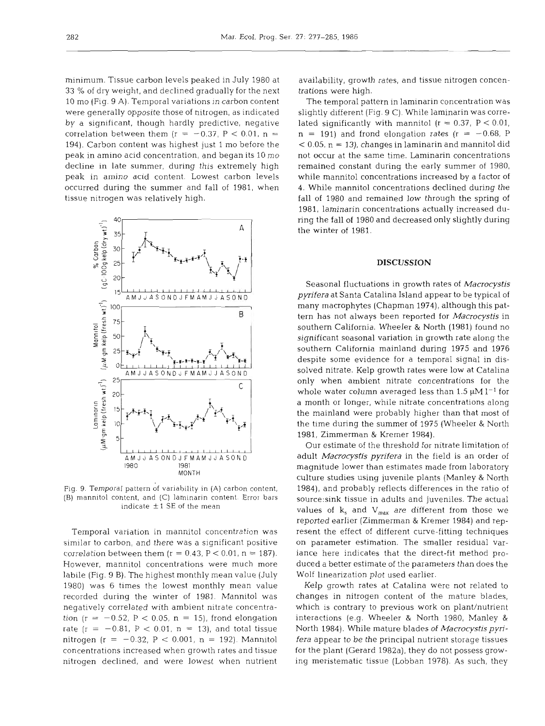minimum. Tissue carbon levels peaked in July 1980 at 33 % of dry weight, and declined gradually for the next 10 mo (Fig. 9 A). Temporal variations in carbon content were generally opposite those of nitrogen, as indicated by a significant, though hardly predictive, negative correlation between them ( $r = -0.37$ ,  $P < 0.01$ ,  $n =$ 194). Carbon content was highest just 1 mo before the peak in amino acid concentration, and began its 10 mo decline in late summer, during this extremely high peak in amino acid content. Lowest carbon levels occurred during the summer and fall of 1981, when tissue nitrogen was relatively high.



Fig. 9. Temporal pattern df variability in (A) carbon content, (B) mannitol content, and (C) laminarin content. Error bars indicate  $\pm$  1 SE of the mean

**<sup>I</sup>**emporal variation in mannitol concentration was similar to carbon, and there was a significant positive correlation between them ( $r = 0.43$ ,  $P < 0.01$ ,  $n = 187$ ). However, mannitol concentrations were much more labile (Fig. 9 B). The highest monthly mean value (July 1980) was 6 times the lowest monthly mean value recorded during the winter of 1981. Mannitol was negatively correlated with ambient nitrate concentration (r =  $-0.52$ , P < 0.05, n = 15), frond elongation rate ( $r = -0.81$ ,  $P < 0.01$ ,  $n = 13$ ), and total tissue nitrogen (r = -0.32, P < 0.001, n = 192). Mannitol concentrations increased when growth rates and tissue nitrogen declined, and were lowest when nutrient availability, growth rates, and tissue nitrogen concentrations were high.

The temporal pattern in laminarin concentration was slightly different (Fig. 9 C). While laminarin was correlated significantly with mannitol ( $r = 0.37$ ,  $P < 0.01$ ,  $n = 191$ ) and frond elongation rates ( $r = -0.68$ , P  $<$  0.05, n = 13), changes in laminarin and mannitol did not occur at the same time. Laminarin concentrations remained constant during the early summer of 1980, while mannitol concentrations increased by a factor of 4. While mannitol concentrations declined during the fall of 1980 and remained low through the spring of 1981, laminarin concentrations actually increased during the fall of 1980 and decreased only slightly during the winter of 1981.

### **DISCUSSION**

Seasonal fluctuations in growth rates of *Macrocystis pyrifera* at Santa Catalina Island appear to be typical of many macrophytes (Chapman 1974), although this pattern has not always been reported for *Macrocystis* in southern California. Wheeler & North (1981) found no significant seasonal variation in growth rate along the southern California mainland during 1975 and 1976 despite some evidence for a temporal signal in dissolved nitrate. Kelp growth rates were low at Catalina only when ambient nitrate concentrations for the whole water column averaged less than 1.5  $\mu$ M l<sup>-1</sup> for a month or longer, while nitrate concentrations along the mainland were probably higher than that most of the time during the summer of 1975 (Wheeler & North 1981, Zimmerman & Kremer 1984).

Our estimate of the threshold for nitrate limitation of adult *Macrocystis pyrifera* in the field is an order of magnitude lower than estimates made from laboratory culture studies using juvenile plants (Manley & North 1984), and probably reflects differences in the ratio of source: sink tissue in adults and juveniles. The actual values of  $k_s$  and  $V_{max}$  are different from those we reported earlier (Zimmerman & Kremer 1984) and represent the effect of different curve-fitting techniques on parameter estimation. The smaller residual variance here indicates that the direct-fit method produced a better estimate of the parameters than does the Wolf linearization plot used earlier.

Kelp growth rates at Catalina were not related to changes in nitrogen content of the mature blades, which is contrary to previous work on plant/nutrient interactions (e.g. Wheeler & North 1980, Manley & North 1984). While mature blades of *Macrocystis pyrifera* appear to be the principal nutrient storage tissues for the plant (Gerard 1982a), they do not possess growing meristematic tissue (Lobban 1978). As such, they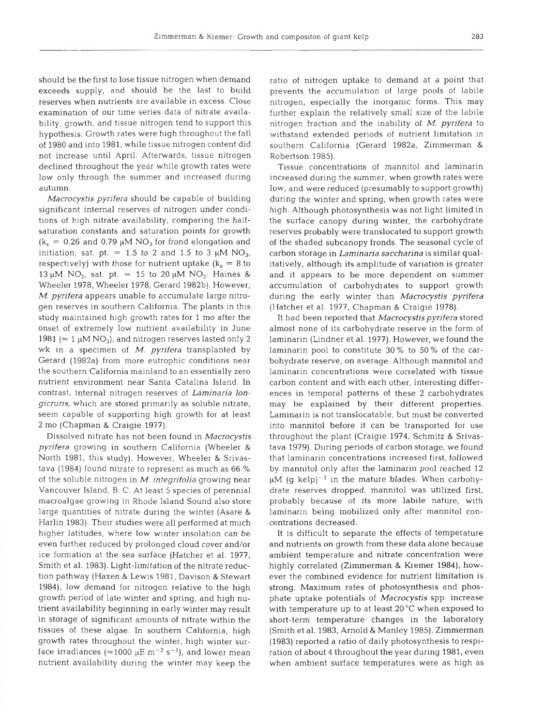should be the first to lose tissue nitrogen when demand exceeds supply, and should be the last to build reserves when nutrients are available in excess. Close examination of our time series data of nitrate availability, growth, and tissue nitrogen tend to support this hypothesis. Growth rates were high throughout the fall of 1980 and into 1981, while tissue nitrogen content did not increase until April. Afterwards, tissue nitrogen declined throughout the year while growth rates were low only through the summer and increased during autumn.

*Macrocystis pyrifera* should be capable of building significant internal reserves of nitrogen under conditions of high nitrate availability, comparing the halfsaturation constants and saturation points for growth  $(k_s = 0.26$  and 0.79  $\mu$ M NO<sub>3</sub> for frond elongation and initiation; sat. pt. = 1.5 to 2 and 1.5 to 3  $\mu$ M NO<sub>3</sub>, respectively) with those for nutrient uptake  $(k_s = 8$  to 13  $\mu$ M NO<sub>3</sub>, sat. pt. = 15 to 20  $\mu$ M NO<sub>3</sub>: Haines & Wheeler 1978, Wheeler 1978, Gerard 1982b). However, *M. pyrifera* appears unable to accumulate large nitrogen reserves in southern California. The plants in this study maintained high growth rates for 1 mo after the onset of extremely low nutrient availability in June 1981 ( $\approx$  1 µM NO<sub>3</sub>), and nitrogen reserves lasted only 2 wk in a specimen of *M. pyrifera* transplanted by Gerard (1982a) from more eutrophic conditions near the southern California mainland to an essentially zero nutrient environment near Santa Catalina Island. In contrast, internal nitrogen reserves of *Laminaria longicruris,* which are stored primarily as soluble nitrate, seem capable of supporting high growth for at least 2 mo (Chapman & Craigie 1977).

Dissolved nitrate has not been found in *Macrocystis pyrifera* growing in southern California (Wheeler & North 1981, this study). However, Wheeler & Srivastava (1984) found nitrate to represent as much as 66 % of the soluble nitrogen in M. *integrifolia* growing near Vancouver Island, B. C. At least 5 species of perennial macroalgae growing in Rhode Island Sound also store large quantities of nitrate during the winter (Asare & Harlin 1983). Their studies were all performed at much higher latitudes, where low winter insolation can be even further reduced by prolonged cloud cover and/or ice formation at the sea surface (Hatcher et al. 1977, Smith et al. 1983). Light-limitation of the nitrate reduction pathway (Haxen & Lewis 1981, Davison & Stewart 1984), low demand for nitrogen relative to the high growth period of late winter and spring, and high nutrient availability beginning in early winter may result in storage of significant amounts of nitrate within the tissues of these algae. In southern California, high growth rates throughout the winter, high winter surface irradiances ( $\approx$ 1000  $\mu$ E m<sup>-2</sup> s<sup>-1</sup>), and lower mean nutrient availability during the winter may keep the ratio of nitrogen uptake to demand at a point that prevents the accumulation of large pools of labile nitrogen, especially the inorganic forms. This may further explain the relatively small size of the labile nitrogen fraction and the inability of *M. pyrifera* to withstand extended periods of nutrient limitation in southern California (Gerard 1982a, Zimmerman & Robertson 1985).

Tissue concentrations of mannitol and laminarin increased during the summer, when growth rates were low, and were reduced (presumably to support growth) during the winter and spring, when growth rates were high. Although photosynthesis was not light limited in the surface canopy during winter, the carbohydrate reserves probably were translocated to support growth of the shaded subcanopy fronds. The seasonal cycle of carbon storage in *Laminaria saccharina* is similar qualitatively, although its amplitude of variation is greater and it appears to be more dependent on summer accumulation of carbohydrates to support growth during the early winter than *A4acrocystis pyrifera*  (Hatcher et al. 1977, Chapman & Craigie 1978).

It had been reported that *Macrocystispyrifera* stored almost none of its carbohydrate reserve in the form of laminarin (Lindner et al. 1977). However, we found the laminarin pool to constitute 30% to 50 % of the carbohydrate reserve, on average. Although mannitol and laminarin concentrations were correlated with tissue carbon content and with each other, interesting differences in temporal patterns of these 2 carbohydrates may be explained by their different properties. Laminarin is not translocatable, but must be converted into mannitol before it can be transported for use throughout the plant (Craigie 1974, Schmitz & Srivastava 1979). During periods of carbon storage, we found that laminarin concentrations increased first, followed by mannitol only after the laminarin pool reached 12  $\mu$ M (q kelp)<sup>-1</sup> in the mature blades. When carbohydrate reserves dropped, mannitol was utilized first, probably because of its more labile nature, with laminarin being mobilized only after mannitol concentrations decreased.

It is difficult to separate the effects of temperature and nutrients on growth from these data alone because ambient temperature and nitrate concentration were highly correlated (Zimmerman & Kremer 1984), however the combined evidence for nutrient limitation is strong. Maximum rates of photosynthesis and phosphate uptake potentials of *Macrocystis* spp, increase with temperature up to at least 20°C when exposed to short-term temperature changes in the laboratory (Smith et al. 1983, Arnold & Manley 1985). Zimmerman (1983) reported a ratio of daily photosynthesis to respiration of about 4 throughout the year during 1981, even when ambient surface temperatures were as high as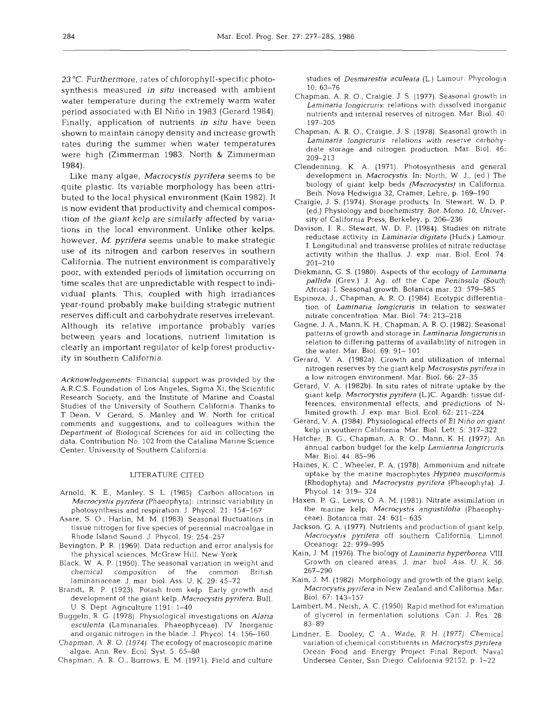23 "C. Furthermore, rates of chlorophyll-specific photosynthesis measured in *situ* increased with ambient water temperature during the extremely warm water period associated with El Niño in 1983 (Gerard 1984). Finally, application of nutrients in **situ** have been shown to maintain canopy density and increase growth rates during the summer when water temperatures were high (Zimmerman 1983, North & Zimmerman 1984).

Like many algae, *Macrocystis* **pyrifera** seems to be quite plastic. Its variable morphology has been attributed to the local physical environment (Kain 1982). It is now evident that productivity and chemical composition of the giant kelp are similarly affected by variations in the local environment. Unlike other kelps, however, M. *pyrifera* seems unable to make strategic use of its nitrogen and carbon reserves in southern California. The nutrient environment is comparatively poor, with extended periods of limitation occurring on time scales that are unpredictable with respect to individual plants. This, coupled with high irradiances year-round probably make building strategic nutrient reserves difficult and carbohydrate reserves irrelevant. Although its relative importance probably varies between years and locations, nutrient limitation is clearly an important regulator of kelp forest productivity in southern California.

*Acknowledgements:* Financial support was provided by the A.R.C.S. Foundation of Los Angeles, Sigma Xi, the Scientific Research Society, and the Institute of Marine and Coastal Studies of the University of Southern California. Thanks to T. Dean, V Gerard, S. Manley and W. North for critical comments and suggestions, and to colleagues within the Department of Biological Sciences for aid in collecting the data. Contribution No. 102 from the Catalina Marine Science Center, University of Southern California.

### LITERATURE CITED

- Arnold, K. E., Manley, S. L. (1985) Carbon allocation in *Macrocystispyrifera* (Phaeophyta): intrinsic variability in photosynthesis and respiration. J. Phycol. 21: 154-167
- Asare, S. O., Harlin, M. M. (1983). Seasonal fluctuations in tissue nitrogen for five species of perennial macroalgae in Rhode Island Sound. J. Phycol. 19: 254-257
- Bevington, P. R. (1969). Data reduction and error analysis for the physical sciences. McGraw Hill, New York
- Black, W A. P. (1950). The seasonal variation in weight and chemical composition of the common British laminariaceae. J. mar biol. Ass. U. K. 29: 45-72
- Brandt, R. P. (1923). Potash from kelp. Early growth and development of the giant kelp, *Macrocystis pyrifera.* Bull. *U.* S. Dept. Agriculture 1191: 1-40
- Buggeln, R. G. (1978). Physiological investigations on *Alaria esculents* (Laminariales, Phaeophyceae). *IV* Inorganic and organic nitrogen in the blade. J. Phycol. 14: 156-160
- Chapman, A. R. O. (1974). The ecology of macroscopic marine algae. Ann. Rev. Ecol. Syst. 5: 65–80
- Chapman, A. R. O., Burrows, E. M. (1971). Field and culture

studies of *Desmarestia aculeata* (L.) Lamour. Phycologia 10: 63-76

- Chapman, A. R. O., Craigie, J. S. (1977). Seasonal growth in *Laminaria longicruris:* relations with dissolved inorganic nutrients and internal reserves of nitrogen. Mar. Biol. 40: 197-205
- Chapman, A. R. 0.. Craigie, J. S. (1978). Seasonal growth in Laminaria longicruris: relations with reserve carbohydrate storage and nitrogen production. Mar. Biol. 46: 209-213
- Clendenning, K. A. (1971). Photosynthesis and general development in *Macrocystis.* In: North, *W* J., (ed.) The biology of giant kelp beds *(Macrocystis)* in California. Beih. Nova Hedwigia 32, Cramer, Lehre, p. 169-190
- Craigie, J. S. (1974). Storage products. In: Stewart, W. D. P. (ed.) Physiology and biochemistry. Bot. Mono. 10, University of California Press, Berkeley, p. 206-236
- Davison, I. R., Stewart, W. D. P. (1984). Studies on nitrate reductase activity in *Laminaria digitata* (Huds.) Lamour. I. Longitudinal and transverse profiles of nitrate reductase activity within the thallus. J. exp. mar. Biol. Ecol. 74: 201-210
- Diekmann, G. S. (1980). Aspects of the ecology of *Laminaria pallida* (Grev.) *J.* Ag. off the Cape Peninsula (South Africa). I. Seasonal growth. Botanica mar. 23: 579-585
- Espinoza, J., Chapman, A. R. 0. (1984). Ecotypic differentiation of *Laminaria longicruris* in relation to seawater nitrate concentration. Mar. Biol. 74: 213-218
- Gagne, J. A., Mann, K. H., Chapman, A. R. 0. (1982). Seasonal patterns of growth and storage in *Laminaria longicrurisin*  relation to differing patterns of availability of nitrogen in the water. Mar. Biol. 69: 91- 101
- Gerard, V. A. (1982a). Growth and utilization of internal nitrogen reserves by the giant kelp *Macrosystispyrifera* in a low nitrogen environment. Mar. Biol. 66: 27-35
- Gerard, V. A. (1982b). In situ rates of nitrate uptake by the giant kelp, *Macrocystis pyrifera* (L.)C. Agardh: tissue differences, environmental effects, and predictions of Nlimited growth. J. exp. mar. Biol. Ecol. 62: 211-224
- Gerard, V. A. (1984). Physiological effects of El Nirio on giant kelp in southern California. Mar. Biol. Lett. 5: 317-322
- Hatcher, B. G., Chapman, A. R. O., Mann, K. H. (1977). An annual carbon budget for the kelp *Lamianria longicruris.*  Mar. Biol. 44: 85-96
- Haines, K. C., Wheeler, P. A. (1978). Ammonium and nitrate uptake by the marine macrophytes Hypnea musciformis (Rhodophyta) and *Macrocystis pyrifera* (Phaeophyta). *J.*  Phycol. 14: 319- 324
- Haxen, P. G., Lewis, O. A. M. (1981). Nitrate assimilation in the marine kelp, *Macrocystis angustifolia* (Phaeophyceae). Botanica mar. 24: 631- 635
- Jackson, G. A. (1977). Nutrients and production of giant kelp, *Macrocystis pyrifera* off southern California. Limnol. Oceanogr 22: 979-995
- Kain, J. M. (1976). The biology of *Laminaria hyperborea*. VIII. Growth on cleared areas. J. mar biol. Ass. U. K. 56: 267-290
- Kain, J. M. (1982). Morphology and growth of the giant kelp, *Macrocystispyrifera* in New Zealand and California. Mar. Biol. 67: 143-157
- Lambert, M,, Neish, A. C. (1950). Rapid method for estimation of glycerol in fermentation solutions. Can. J. Res. 28: 83-89
- Lindner, E., Dooley, C. A., Wade, R. H. (1977). Chemical variation of chemical constituents in *Macrocystis pyrifera*. Ocean Food and Energy Project Final Report. Naval Undersea Center, San Diego, California 92132. p. 1-22